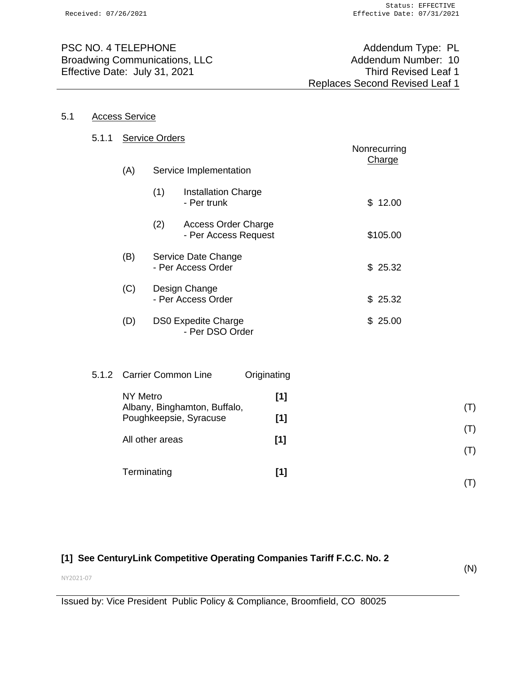PSC NO. 4 TELEPHONE Addendum Type: PL Broadwing Communications, LLC<br>
Effective Date: July 31, 2021<br>
Third Revised Leaf 1 Effective Date: July 31, 2021

#### 5.1 Access Service

| 5.1.1 | <b>Service Orders</b>                                                                        |                                     |                                                    |             |        | Nonrecurring |          |                |
|-------|----------------------------------------------------------------------------------------------|-------------------------------------|----------------------------------------------------|-------------|--------|--------------|----------|----------------|
|       | (A)<br>Service Implementation                                                                |                                     |                                                    |             | Charge |              |          |                |
|       |                                                                                              | (1)                                 | <b>Installation Charge</b><br>- Per trunk          |             |        |              | \$12.00  |                |
|       |                                                                                              | (2)                                 | <b>Access Order Charge</b><br>- Per Access Request |             |        |              | \$105.00 |                |
|       | (B)                                                                                          |                                     | Service Date Change<br>- Per Access Order          |             |        |              | \$25.32  |                |
|       | (C)                                                                                          | Design Change<br>- Per Access Order |                                                    |             |        |              | \$25.32  |                |
|       | (D)                                                                                          |                                     | <b>DS0 Expedite Charge</b><br>- Per DSO Order      |             |        |              | \$25.00  |                |
|       |                                                                                              |                                     |                                                    |             |        |              |          |                |
| 5.1.2 |                                                                                              |                                     | <b>Carrier Common Line</b>                         | Originating |        |              |          |                |
|       | <b>NY Metro</b><br>Albany, Binghamton, Buffalo,<br>Poughkeepsie, Syracuse<br>All other areas |                                     |                                                    |             | [1]    |              |          | (T)            |
|       |                                                                                              |                                     |                                                    |             | [1]    |              |          |                |
|       |                                                                                              |                                     |                                                    |             | $[1]$  |              |          | (T)            |
|       |                                                                                              |                                     |                                                    |             |        |              |          | (T)            |
|       | Terminating                                                                                  |                                     |                                                    |             | $[1]$  |              |          | $(\mathsf{T})$ |

# **[1] See CenturyLink Competitive Operating Companies Tariff F.C.C. No. 2**

(N)

NY2021-07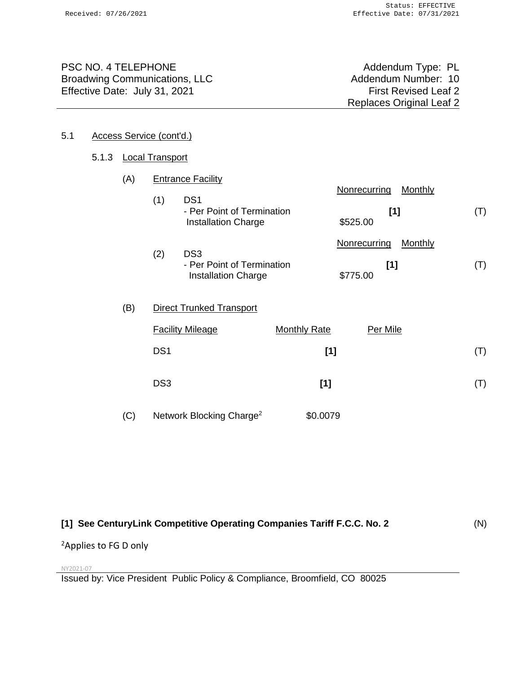PSC NO. 4 TELEPHONE<br>Broadwing Communications, LLC More and Addendum Type: PL Addendum Number: 10 Broadwing Communications, LLC Effective Date: July 31, 2021 **First Revised Leaf 2** 

Replaces Original Leaf 2

#### 5.1 Access Service (cont'd.)

#### 5.1.3 Local Transport

| (A) |                 | <b>Entrance Facility</b>                                                    |                     |                                 |                |     |
|-----|-----------------|-----------------------------------------------------------------------------|---------------------|---------------------------------|----------------|-----|
|     | (1)             | DS <sub>1</sub><br>- Per Point of Termination<br><b>Installation Charge</b> |                     | Nonrecurring<br>[1]<br>\$525.00 | <b>Monthly</b> | (T) |
|     |                 |                                                                             |                     | Nonrecurring                    | Monthly        |     |
|     | (2)             | DS <sub>3</sub><br>- Per Point of Termination<br><b>Installation Charge</b> |                     | [1]<br>\$775.00                 |                | (T) |
| (B) |                 | <b>Direct Trunked Transport</b>                                             |                     |                                 |                |     |
|     |                 | <b>Facility Mileage</b>                                                     | <b>Monthly Rate</b> | Per Mile                        |                |     |
|     | DS <sub>1</sub> |                                                                             | $[1]$               |                                 |                | (T) |
|     | DS <sub>3</sub> |                                                                             | [1]                 |                                 |                | (T) |

#### **[1] See CenturyLink Competitive Operating Companies Tariff F.C.C. No. 2** (N)

<sup>2</sup>Applies to FG D only

NY2021-07

Issued by: Vice President Public Policy & Compliance, Broomfield, CO 80025

(C) Network Blocking Charge<sup>2</sup> \$0.0079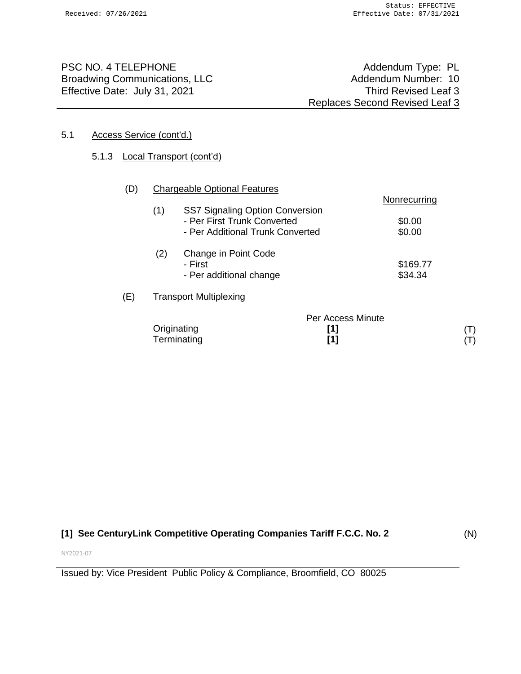PSC NO. 4 TELEPHONE<br>Broadwing Communications, LLC More and Addendum Type: PL Addendum Number: 10 Broadwing Communications, LLC Effective Date: July 31, 2021 Third Revised Leaf 3

#### 5.1 Access Service (cont'd.)

## 5.1.3 Local Transport (cont'd)

| (D) |                                               | <b>Chargeable Optional Features</b> |                   |              |       |
|-----|-----------------------------------------------|-------------------------------------|-------------------|--------------|-------|
|     |                                               |                                     |                   | Nonrecurring |       |
|     | (1)<br><b>SS7 Signaling Option Conversion</b> |                                     |                   |              |       |
|     |                                               | - Per First Trunk Converted         |                   | \$0.00       |       |
|     |                                               | - Per Additional Trunk Converted    |                   | \$0.00       |       |
|     | (2)<br>Change in Point Code                   |                                     |                   |              |       |
|     |                                               | - First                             |                   | \$169.77     |       |
|     |                                               | - Per additional change             |                   | \$34.34      |       |
| (E) |                                               | <b>Transport Multiplexing</b>       |                   |              |       |
|     |                                               |                                     | Per Access Minute |              |       |
|     |                                               | Originating                         | [1]               |              | ( I ) |
|     |                                               | Terminating                         | [1]               |              |       |

# **[1] See CenturyLink Competitive Operating Companies Tariff F.C.C. No. 2**

(N)

NY2021-07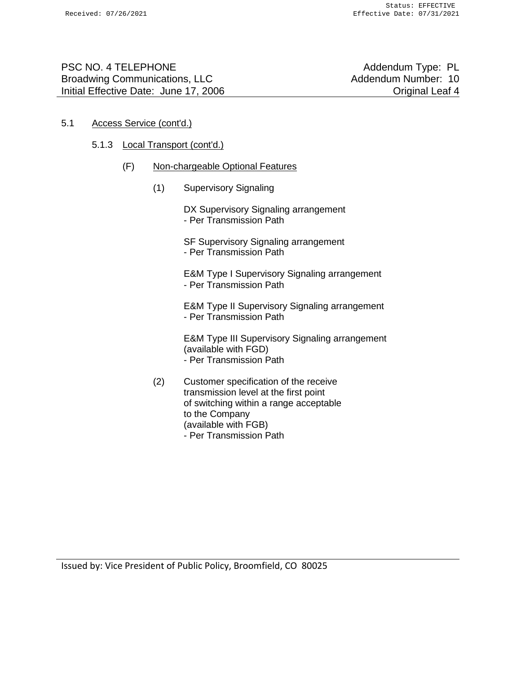| <b>PSC NO. 4 TELEPHONE</b>            |
|---------------------------------------|
| <b>Broadwing Communications, LLC</b>  |
| Initial Effective Date: June 17, 2006 |

Addendum Type: PL Addendum Number: 10 **Original Leaf 4** 

#### 5.1 Access Service (cont'd.)

#### 5.1.3 Local Transport (cont'd.)

- (F) Non-chargeable Optional Features
	- (1) Supervisory Signaling

DX Supervisory Signaling arrangement - Per Transmission Path

SF Supervisory Signaling arrangement - Per Transmission Path

E&M Type I Supervisory Signaling arrangement - Per Transmission Path

E&M Type II Supervisory Signaling arrangement - Per Transmission Path

E&M Type III Supervisory Signaling arrangement (available with FGD) - Per Transmission Path

(2) Customer specification of the receive transmission level at the first point of switching within a range acceptable to the Company (available with FGB) - Per Transmission Path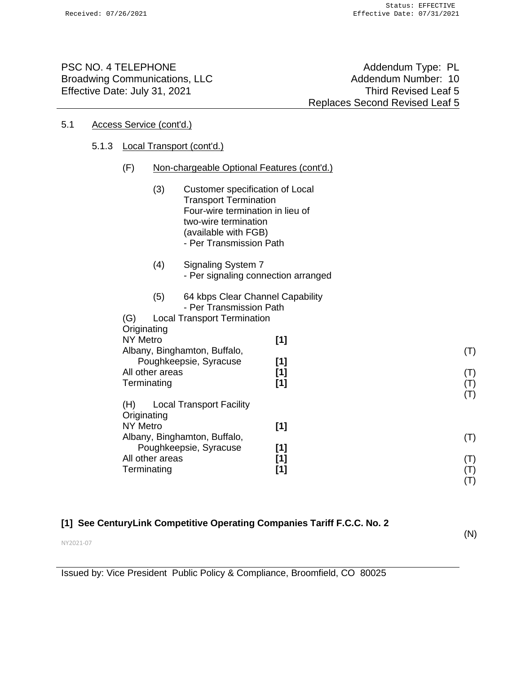PSC NO. 4 TELEPHONE Addendum Type: PL Broadwing Communications, LLC Addendum Number: 10 Effective Date: July 31, 2021 **Third Revised Leaf 5** 

Replaces Second Revised Leaf 5

#### 5.1 Access Service (cont'd.)

#### 5.1.3 Local Transport (cont'd.)

| (F)<br>Non-chargeable Optional Features (cont'd.) |
|---------------------------------------------------|
|---------------------------------------------------|

- (3) Customer specification of Local Transport Termination Four-wire termination in lieu of two-wire termination (available with FGB) - Per Transmission Path
- (4) Signaling System 7 - Per signaling connection arranged
- (5) 64 kbps Clear Channel Capability - Per Transmission Path
- (G) Local Transport Termination **Originating** NY Metro **[1]** Albany, Binghamton, Buffalo, Poughkeepsie, Syracuse **[1]** All other areas **[1]** Terminating **[1]**
- (H) Local Transport Facility **Originating** NY Metro **[1]** Albany, Binghamton, Buffalo, Poughkeepsie, Syracuse **[1]** All other areas **[1]** Terminating **[1]** (T) (T) (T) (T) (T)

### **[1] See CenturyLink Competitive Operating Companies Tariff F.C.C. No. 2**

(N)

(T)

(T) (T)

NY2021-07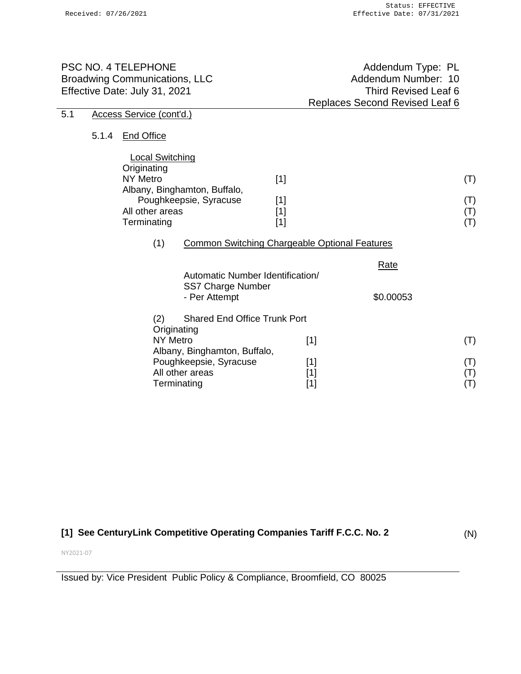| PSC NO. 4 TELEPHONE<br><b>Broadwing Communications, LLC</b><br>Effective Date: July 31, 2021 |       |                                                                                            |                                                                           |                                  | Addendum Type: PL<br>Addendum Number: 10<br><b>Third Revised Leaf 6</b><br>Replaces Second Revised Leaf 6 |                              |
|----------------------------------------------------------------------------------------------|-------|--------------------------------------------------------------------------------------------|---------------------------------------------------------------------------|----------------------------------|-----------------------------------------------------------------------------------------------------------|------------------------------|
| 5.1                                                                                          |       | Access Service (cont'd.)                                                                   |                                                                           |                                  |                                                                                                           |                              |
|                                                                                              | 5.1.4 | <b>End Office</b>                                                                          |                                                                           |                                  |                                                                                                           |                              |
|                                                                                              |       | <b>Local Switching</b><br>Originating<br><b>NY Metro</b><br>All other areas<br>Terminating | Albany, Binghamton, Buffalo,<br>Poughkeepsie, Syracuse                    | $[1]$<br>$[1]$<br>$[1]$<br>$[1]$ |                                                                                                           | (T)<br>(T)<br>(T)<br>(T)     |
|                                                                                              |       | (1)                                                                                        | <b>Common Switching Chargeable Optional Features</b>                      |                                  |                                                                                                           |                              |
|                                                                                              |       |                                                                                            | Automatic Number Identification/<br>SS7 Charge Number                     |                                  | <b>Rate</b>                                                                                               |                              |
|                                                                                              |       |                                                                                            | - Per Attempt                                                             |                                  | \$0.00053                                                                                                 |                              |
|                                                                                              |       | (2)<br>Originating<br><b>NY Metro</b>                                                      | <b>Shared End Office Trunk Port</b>                                       | $[1]$                            |                                                                                                           | (T)                          |
|                                                                                              |       | Terminating                                                                                | Albany, Binghamton, Buffalo,<br>Poughkeepsie, Syracuse<br>All other areas | $[1]$<br>$[1]$<br>$[1]$          |                                                                                                           | (T)<br>$(\mathsf{T})$<br>(T) |

# **[1] See CenturyLink Competitive Operating Companies Tariff F.C.C. No. 2**

(N)

NY2021-07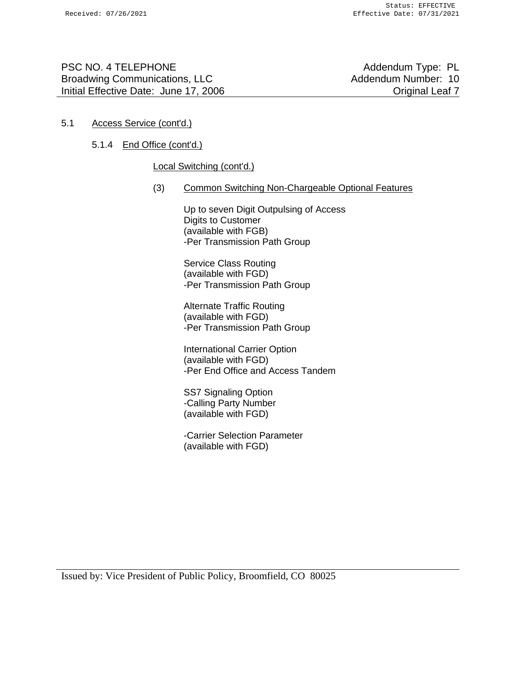PSC NO. 4 TELEPHONE Addendum Type: PL Broadwing Communications, LLC Addendum Number: 10 Initial Effective Date: June 17, 2006 Channel Controller Channel Channel Channel Channel Channel Channel Channel Channel Channel Channel Channel Channel Channel Channel Channel Channel Channel Channel Channel Channel Chann

#### 5.1 Access Service (cont'd.)

#### 5.1.4 End Office (cont'd.)

#### Local Switching (cont'd.)

(3) Common Switching Non-Chargeable Optional Features

Up to seven Digit Outpulsing of Access Digits to Customer (available with FGB) -Per Transmission Path Group

Service Class Routing (available with FGD) -Per Transmission Path Group

Alternate Traffic Routing (available with FGD) -Per Transmission Path Group

International Carrier Option (available with FGD) -Per End Office and Access Tandem

SS7 Signaling Option -Calling Party Number (available with FGD)

-Carrier Selection Parameter (available with FGD)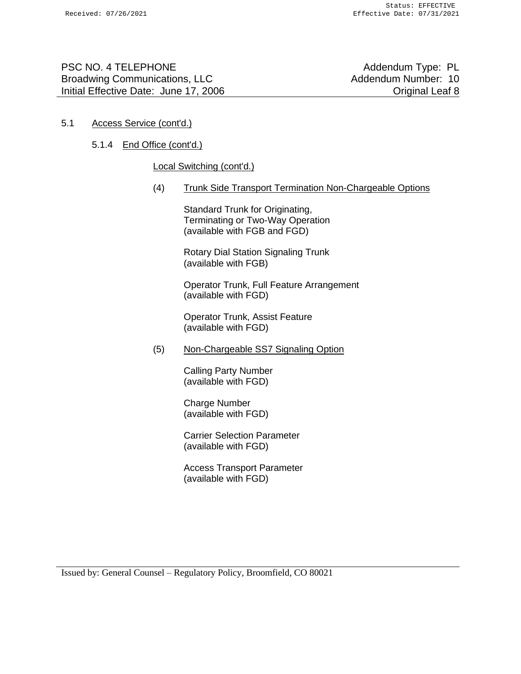PSC NO. 4 TELEPHONE Addendum Type: PL Broadwing Communications, LLC Addendum Number: 10 Initial Effective Date: June 17, 2006 Channel Controller Channel Channel Channel Channel Channel Channel Channel Channel Channel Channel Channel Channel Channel Channel Channel Channel Channel Channel Channel Channel Chann

#### 5.1 Access Service (cont'd.)

### 5.1.4 End Office (cont'd.)

#### Local Switching (cont'd.)

(4) Trunk Side Transport Termination Non-Chargeable Options

Standard Trunk for Originating, Terminating or Two-Way Operation (available with FGB and FGD)

Rotary Dial Station Signaling Trunk (available with FGB)

Operator Trunk, Full Feature Arrangement (available with FGD)

Operator Trunk, Assist Feature (available with FGD)

(5) Non-Chargeable SS7 Signaling Option

Calling Party Number (available with FGD)

Charge Number (available with FGD)

Carrier Selection Parameter (available with FGD)

Access Transport Parameter (available with FGD)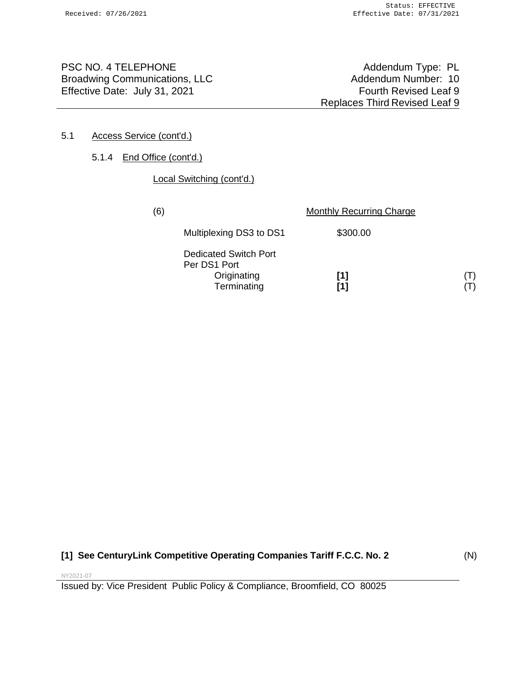PSC NO. 4 TELEPHONE<br>Broadwing Communications, LLC More and Addendum Type: PL Addendum Number: 10 Broadwing Communications, LLC Effective Date: July 31, 2021 Fourth Revised Leaf 9

Replaces Third Revised Leaf 9

#### 5.1 Access Service (cont'd.)

#### 5.1.4 End Office (cont'd.)

#### Local Switching (cont'd.)

| (6) |                                                                            | <b>Monthly Recurring Charge</b> |  |
|-----|----------------------------------------------------------------------------|---------------------------------|--|
|     | Multiplexing DS3 to DS1                                                    | \$300.00                        |  |
|     | <b>Dedicated Switch Port</b><br>Per DS1 Port<br>Originating<br>Terminating | [1]<br>[1]                      |  |

## **[1] See CenturyLink Competitive Operating Companies Tariff F.C.C. No. 2**

(N)

NY2021-07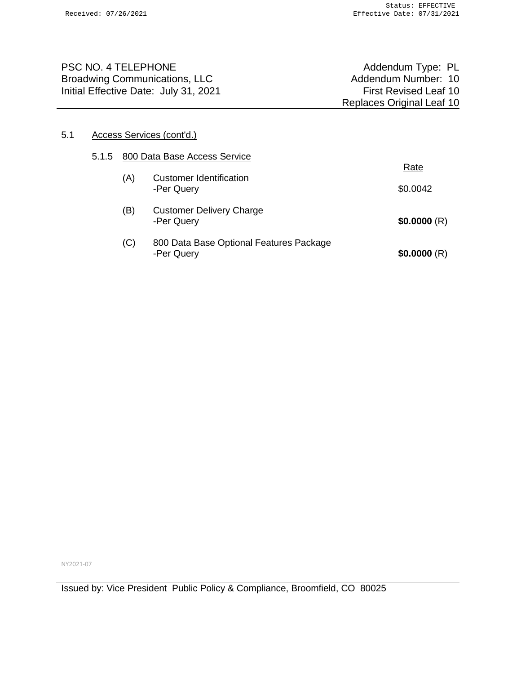| <b>PSC NO. 4 TELEPHONE</b><br><b>Broadwing Communications, LLC</b> | Addendum Type: PL<br>Addendum Number: 10 |
|--------------------------------------------------------------------|------------------------------------------|
| Initial Effective Date: July 31, 2021                              | <b>First Revised Leaf 10</b>             |
|                                                                    | <b>Replaces Original Leaf 10</b>         |
|                                                                    |                                          |

### 5.1 Access Services (cont'd.)

| 5.1.5 800 Data Base Access Service |                                                       |             |
|------------------------------------|-------------------------------------------------------|-------------|
| (A)                                | <b>Customer Identification</b>                        | Rate        |
|                                    | -Per Query                                            | \$0.0042    |
| (B)                                | <b>Customer Delivery Charge</b><br>-Per Query         | \$0.0000(R) |
| (C)                                | 800 Data Base Optional Features Package<br>-Per Query | \$0.0000(R) |

NY2021-07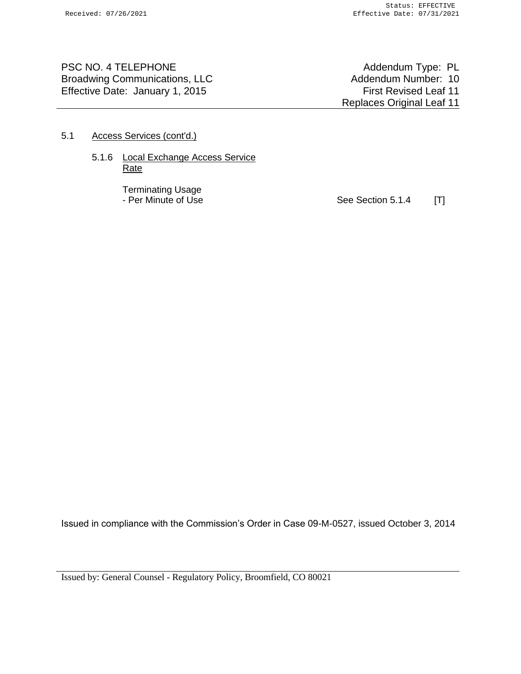PSC NO. 4 TELEPHONE<br>Broadwing Communications, LLC More and Addendum Type: PL Addendum Number: 10 Broadwing Communications, LLC Effective Date: January 1, 2015 **First Revised Leaf 11** 

Replaces Original Leaf 11

#### 5.1 Access Services (cont'd.)

#### 5.1.6 Local Exchange Access Service Rate

Terminating Usage

- Per Minute of Use Section 5.1.4 [T]

Issued in compliance with the Commission's Order in Case 09-M-0527, issued October 3, 2014

Issued by: General Counsel - Regulatory Policy, Broomfield, CO 80021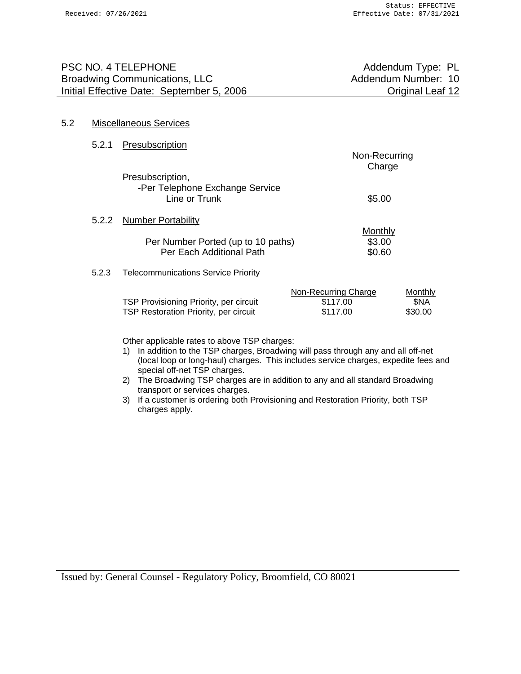| PSC NO. 4 TELEPHONE                       | Addendum Type: PL       |
|-------------------------------------------|-------------------------|
| <b>Broadwing Communications, LLC</b>      | Addendum Number: 10     |
| Initial Effective Date: September 5, 2006 | <b>Original Leaf 12</b> |
|                                           |                         |

#### 5.2 Miscellaneous Services

5.2.1 Presubscription

|       |                                                                                        | Non-Recurring<br>Charge                      |                            |
|-------|----------------------------------------------------------------------------------------|----------------------------------------------|----------------------------|
|       | Presubscription,<br>-Per Telephone Exchange Service<br>Line or Trunk                   | \$5.00                                       |                            |
|       | 5.2.2 Number Portability                                                               |                                              |                            |
|       | Per Number Ported (up to 10 paths)<br>Per Each Additional Path                         | Monthly<br>\$3.00<br>\$0.60                  |                            |
| 5.2.3 | <b>Telecommunications Service Priority</b>                                             |                                              |                            |
|       | TSP Provisioning Priority, per circuit<br><b>TSP Restoration Priority, per circuit</b> | Non-Recurring Charge<br>\$117.00<br>\$117.00 | Monthly<br>\$NA<br>\$30.00 |

Other applicable rates to above TSP charges:

- 1) In addition to the TSP charges, Broadwing will pass through any and all off-net (local loop or long-haul) charges. This includes service charges, expedite fees and special off-net TSP charges.
- 2) The Broadwing TSP charges are in addition to any and all standard Broadwing transport or services charges.
- 3) If a customer is ordering both Provisioning and Restoration Priority, both TSP charges apply.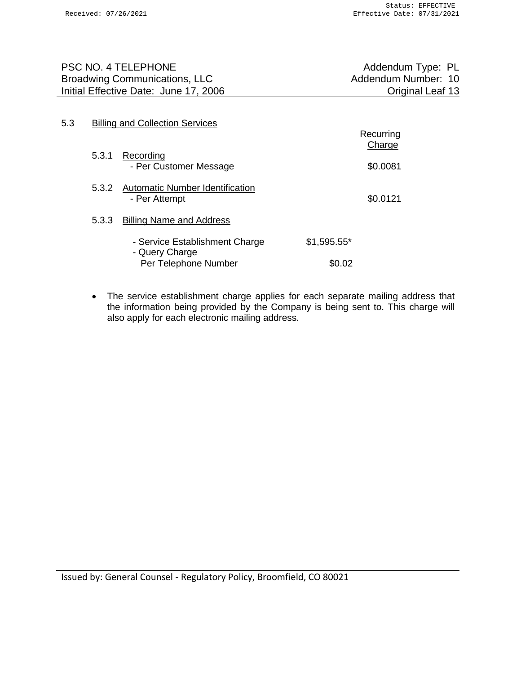Recurring

| PSC NO. 4 TELEPHONE                   | Addendum Type: PL   |
|---------------------------------------|---------------------|
| Broadwing Communications, LLC         | Addendum Number: 10 |
| Initial Effective Date: June 17, 2006 | Original Leaf 13    |
|                                       |                     |

# 5.3 Billing and Collection Services

|       |                                                                          |               | 11000111119<br>Charge |
|-------|--------------------------------------------------------------------------|---------------|-----------------------|
| 5.3.1 | Recording<br>- Per Customer Message                                      |               | \$0.0081              |
|       | 5.3.2 Automatic Number Identification<br>- Per Attempt                   |               | \$0.0121              |
| 5.3.3 | <b>Billing Name and Address</b>                                          |               |                       |
|       | - Service Establishment Charge<br>- Query Charge<br>Per Telephone Number | $$1,595.55$ * |                       |
|       |                                                                          | \$0.02        |                       |

• The service establishment charge applies for each separate mailing address that the information being provided by the Company is being sent to. This charge will also apply for each electronic mailing address.

Issued by: General Counsel - Regulatory Policy, Broomfield, CO 80021